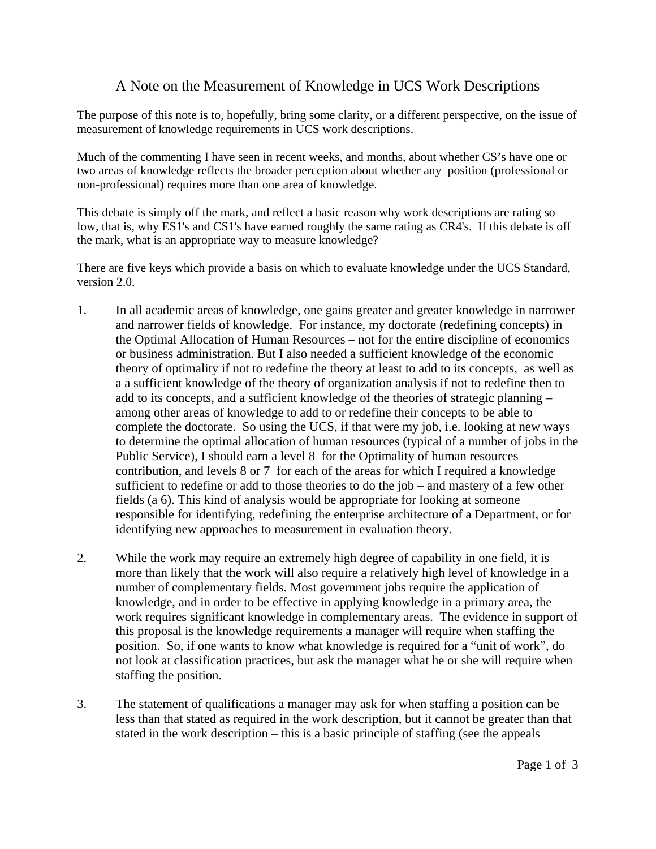## A Note on the Measurement of Knowledge in UCS Work Descriptions

The purpose of this note is to, hopefully, bring some clarity, or a different perspective, on the issue of measurement of knowledge requirements in UCS work descriptions.

Much of the commenting I have seen in recent weeks, and months, about whether CS's have one or two areas of knowledge reflects the broader perception about whether any position (professional or non-professional) requires more than one area of knowledge.

This debate is simply off the mark, and reflect a basic reason why work descriptions are rating so low, that is, why ES1's and CS1's have earned roughly the same rating as CR4's. If this debate is off the mark, what is an appropriate way to measure knowledge?

There are five keys which provide a basis on which to evaluate knowledge under the UCS Standard, version 2.0.

- 1. In all academic areas of knowledge, one gains greater and greater knowledge in narrower and narrower fields of knowledge. For instance, my doctorate (redefining concepts) in the Optimal Allocation of Human Resources – not for the entire discipline of economics or business administration. But I also needed a sufficient knowledge of the economic theory of optimality if not to redefine the theory at least to add to its concepts, as well as a a sufficient knowledge of the theory of organization analysis if not to redefine then to add to its concepts, and a sufficient knowledge of the theories of strategic planning – among other areas of knowledge to add to or redefine their concepts to be able to complete the doctorate. So using the UCS, if that were my job, i.e. looking at new ways to determine the optimal allocation of human resources (typical of a number of jobs in the Public Service), I should earn a level 8 for the Optimality of human resources contribution, and levels 8 or 7 for each of the areas for which I required a knowledge sufficient to redefine or add to those theories to do the job – and mastery of a few other fields (a 6). This kind of analysis would be appropriate for looking at someone responsible for identifying, redefining the enterprise architecture of a Department, or for identifying new approaches to measurement in evaluation theory.
- 2. While the work may require an extremely high degree of capability in one field, it is more than likely that the work will also require a relatively high level of knowledge in a number of complementary fields. Most government jobs require the application of knowledge, and in order to be effective in applying knowledge in a primary area, the work requires significant knowledge in complementary areas. The evidence in support of this proposal is the knowledge requirements a manager will require when staffing the position. So, if one wants to know what knowledge is required for a "unit of work", do not look at classification practices, but ask the manager what he or she will require when staffing the position.
- 3. The statement of qualifications a manager may ask for when staffing a position can be less than that stated as required in the work description, but it cannot be greater than that stated in the work description – this is a basic principle of staffing (see the appeals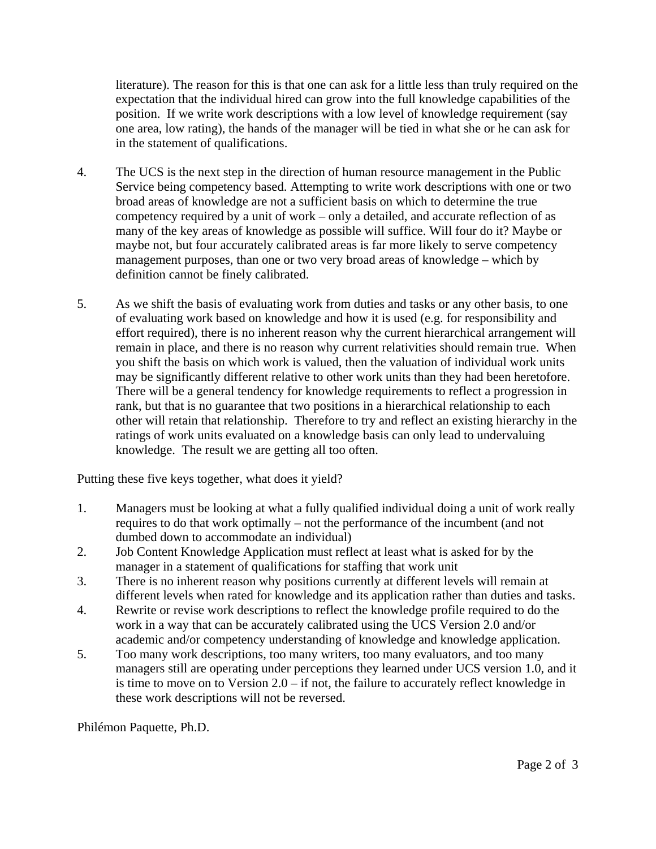literature). The reason for this is that one can ask for a little less than truly required on the expectation that the individual hired can grow into the full knowledge capabilities of the position. If we write work descriptions with a low level of knowledge requirement (say one area, low rating), the hands of the manager will be tied in what she or he can ask for in the statement of qualifications.

- 4. The UCS is the next step in the direction of human resource management in the Public Service being competency based. Attempting to write work descriptions with one or two broad areas of knowledge are not a sufficient basis on which to determine the true competency required by a unit of work – only a detailed, and accurate reflection of as many of the key areas of knowledge as possible will suffice. Will four do it? Maybe or maybe not, but four accurately calibrated areas is far more likely to serve competency management purposes, than one or two very broad areas of knowledge – which by definition cannot be finely calibrated.
- 5. As we shift the basis of evaluating work from duties and tasks or any other basis, to one of evaluating work based on knowledge and how it is used (e.g. for responsibility and effort required), there is no inherent reason why the current hierarchical arrangement will remain in place, and there is no reason why current relativities should remain true. When you shift the basis on which work is valued, then the valuation of individual work units may be significantly different relative to other work units than they had been heretofore. There will be a general tendency for knowledge requirements to reflect a progression in rank, but that is no guarantee that two positions in a hierarchical relationship to each other will retain that relationship. Therefore to try and reflect an existing hierarchy in the ratings of work units evaluated on a knowledge basis can only lead to undervaluing knowledge. The result we are getting all too often.

Putting these five keys together, what does it yield?

- 1. Managers must be looking at what a fully qualified individual doing a unit of work really requires to do that work optimally – not the performance of the incumbent (and not dumbed down to accommodate an individual)
- 2. Job Content Knowledge Application must reflect at least what is asked for by the manager in a statement of qualifications for staffing that work unit
- 3. There is no inherent reason why positions currently at different levels will remain at different levels when rated for knowledge and its application rather than duties and tasks.
- 4. Rewrite or revise work descriptions to reflect the knowledge profile required to do the work in a way that can be accurately calibrated using the UCS Version 2.0 and/or academic and/or competency understanding of knowledge and knowledge application.
- 5. Too many work descriptions, too many writers, too many evaluators, and too many managers still are operating under perceptions they learned under UCS version 1.0, and it is time to move on to Version 2.0 – if not, the failure to accurately reflect knowledge in these work descriptions will not be reversed.

Philémon Paquette, Ph.D.